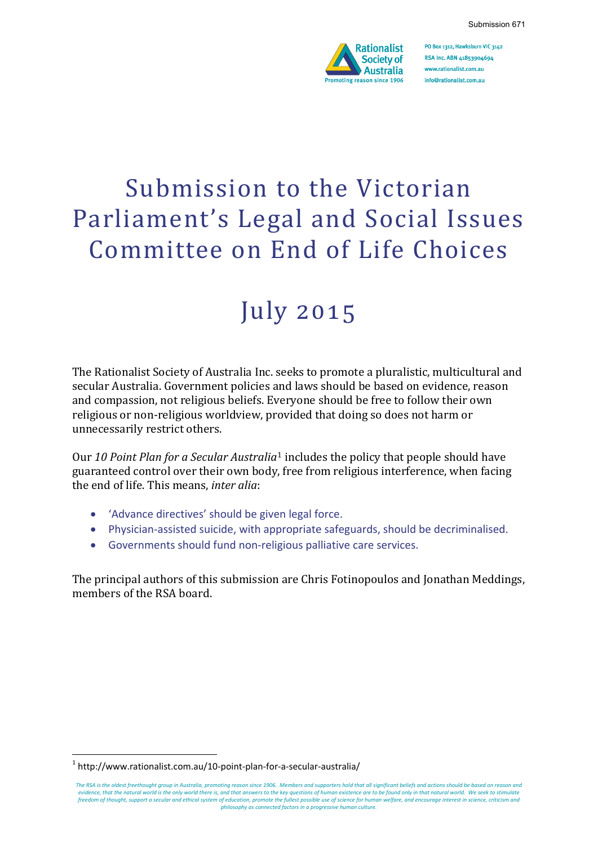

PO Box 1312, Hawksburn VIC 3142 RSA Inc. ABN 41853904694 www.rationalist.com.au info@rationalist.com.au

# Submission to the Victorian Parliament's Legal and Social Issues Committee on End of Life Choices

## July 2015

The Rationalist Society of Australia Inc. seeks to promote a pluralistic, multicultural and secular Australia. Government policies and laws should be based on evidence, reason and compassion, not religious beliefs. Everyone should be free to follow their own religious or non-religious worldview, provided that doing so does not harm or unnecessarily restrict others.

Our *10 Point Plan for a Secular Australia*<sup>1</sup> includes the policy that people should have guaranteed control over their own body, free from religious interference, when facing the end of life. This means, *inter alia*:

- 'Advance directives' should be given legal force.
- Physician-assisted suicide, with appropriate safeguards, should be decriminalised.
- Governments should fund non-religious palliative care services.

The principal authors of this submission are Chris Fotinopoulos and Jonathan Meddings, members of the RSA board.

-

 $1$  http://www.rationalist.com.au/10-point-plan-for-a-secular-australia/

*The RSA is the oldest freethought group in Australia, promoting reason since 1906. Members and supporters hold that all significant beliefs and actions should be based on reason and evidence, that the natural world is the only world there is, and that answers to the key questions of human existence are to be found only in that natural world. We seek to stimulate freedom of thought, support a secular and ethical system of education, promote the fullest possible use of science for human welfare, and encourage interest in science, criticism and philosophy as connected factors in a progressive human culture.*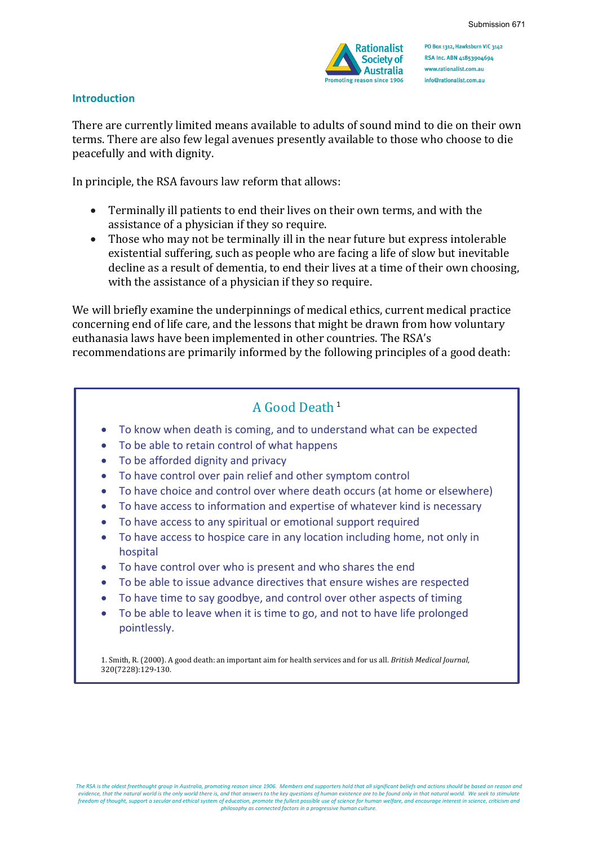

PO Box 1312, Hawksburn VIC 3142 RSA Inc. ABN 41853904694 www.rationalist.com.au info@rationalist.com.au

#### **Introduction**

There are currently limited means available to adults of sound mind to die on their own terms. There are also few legal avenues presently available to those who choose to die peacefully and with dignity.

In principle, the RSA favours law reform that allows:

- Terminally ill patients to end their lives on their own terms, and with the assistance of a physician if they so require.
- Those who may not be terminally ill in the near future but express intolerable existential suffering, such as people who are facing a life of slow but inevitable decline as a result of dementia, to end their lives at a time of their own choosing, with the assistance of a physician if they so require.

We will briefly examine the underpinnings of medical ethics, current medical practice concerning end of life care, and the lessons that might be drawn from how voluntary euthanasia laws have been implemented in other countries. The RSA's recommendations are primarily informed by the following principles of a good death:

## A Good Death<sup>1</sup>

- To know when death is coming, and to understand what can be expected
- To be able to retain control of what happens
- To be afforded dignity and privacy
- To have control over pain relief and other symptom control
- To have choice and control over where death occurs (at home or elsewhere)
- To have access to information and expertise of whatever kind is necessary
- To have access to any spiritual or emotional support required
- To have access to hospice care in any location including home, not only in hospital
- To have control over who is present and who shares the end
- To be able to issue advance directives that ensure wishes are respected
- To have time to say goodbye, and control over other aspects of timing
- To be able to leave when it is time to go, and not to have life prolonged pointlessly.

1. Smith, R. (2000). A good death: an important aim for health services and for us all. *British Medical Journal*, 320(7228):129-130.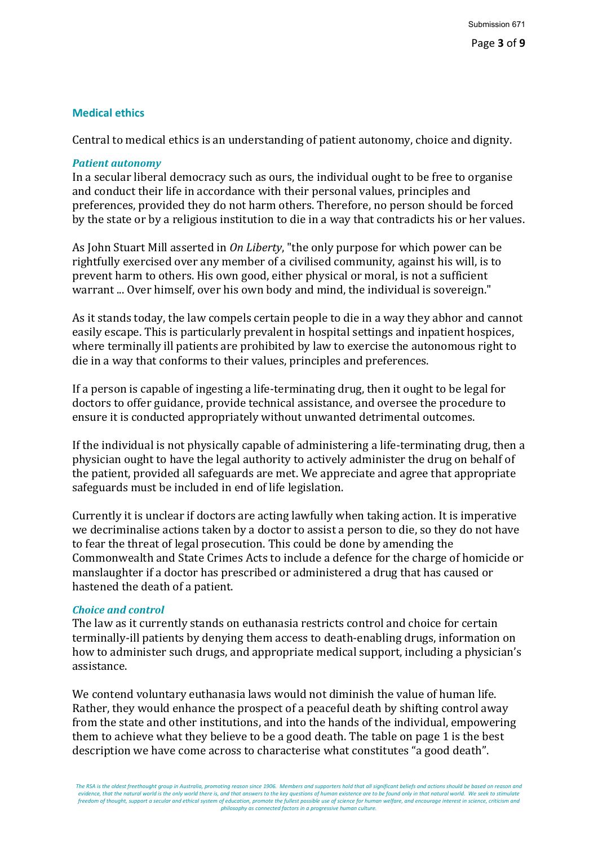## **Medical ethics**

Central to medical ethics is an understanding of patient autonomy, choice and dignity.

#### *Patient autonomy*

In a secular liberal democracy such as ours, the individual ought to be free to organise and conduct their life in accordance with their personal values, principles and preferences, provided they do not harm others. Therefore, no person should be forced by the state or by a religious institution to die in a way that contradicts his or her values.

As John Stuart Mill asserted in *On Liberty*, "the only purpose for which power can be rightfully exercised over any member of a civilised community, against his will, is to prevent harm to others. His own good, either physical or moral, is not a sufficient warrant ... Over himself, over his own body and mind, the individual is sovereign."

As it stands today, the law compels certain people to die in a way they abhor and cannot easily escape. This is particularly prevalent in hospital settings and inpatient hospices, where terminally ill patients are prohibited by law to exercise the autonomous right to die in a way that conforms to their values, principles and preferences.

If a person is capable of ingesting a life-terminating drug, then it ought to be legal for doctors to offer guidance, provide technical assistance, and oversee the procedure to ensure it is conducted appropriately without unwanted detrimental outcomes.

If the individual is not physically capable of administering a life-terminating drug, then a physician ought to have the legal authority to actively administer the drug on behalf of the patient, provided all safeguards are met. We appreciate and agree that appropriate safeguards must be included in end of life legislation.

Currently it is unclear if doctors are acting lawfully when taking action. It is imperative we decriminalise actions taken by a doctor to assist a person to die, so they do not have to fear the threat of legal prosecution. This could be done by amending the Commonwealth and State Crimes Acts to include a defence for the charge of homicide or manslaughter if a doctor has prescribed or administered a drug that has caused or hastened the death of a patient.

#### *Choice and control*

The law as it currently stands on euthanasia restricts control and choice for certain terminally-ill patients by denying them access to death-enabling drugs, information on how to administer such drugs, and appropriate medical support, including a physician's assistance.

We contend voluntary euthanasia laws would not diminish the value of human life. Rather, they would enhance the prospect of a peaceful death by shifting control away from the state and other institutions, and into the hands of the individual, empowering them to achieve what they believe to be a good death. The table on page 1 is the best description we have come across to characterise what constitutes "a good death".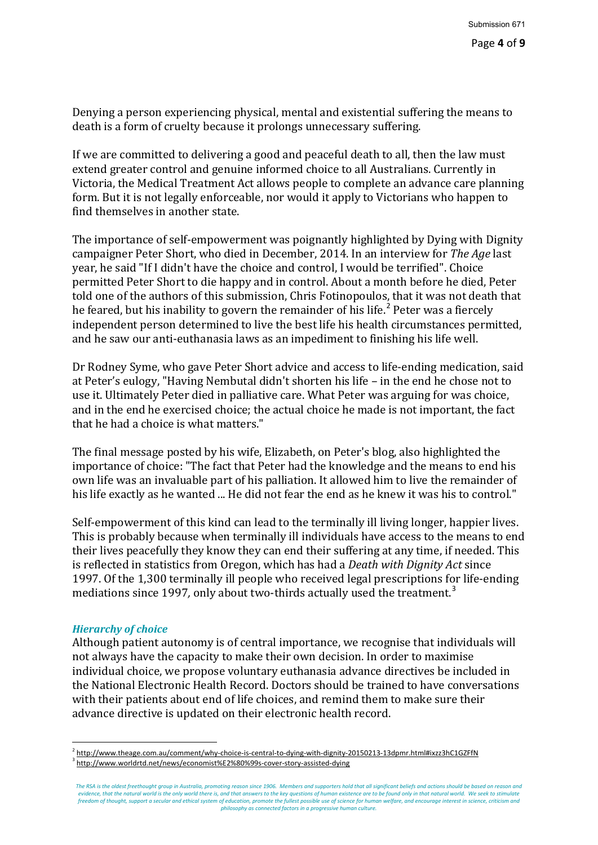Denying a person experiencing physical, mental and existential suffering the means to death is a form of cruelty because it prolongs unnecessary suffering.

If we are committed to delivering a good and peaceful death to all, then the law must extend greater control and genuine informed choice to all Australians. Currently in Victoria, the Medical Treatment Act allows people to complete an advance care planning form. But it is not legally enforceable, nor would it apply to Victorians who happen to find themselves in another state.

The importance of self-empowerment was poignantly highlighted by Dying with Dignity campaigner Peter Short, who died in December, 2014. In an interview for *The Age* last year, he said "If I didn't have the choice and control, I would be terrified". Choice permitted Peter Short to die happy and in control. About a month before he died, Peter told one of the authors of this submission, Chris Fotinopoulos, that it was not death that he feared, but his inability to govern the remainder of his life.<sup>2</sup> Peter was a fiercely independent person determined to live the best life his health circumstances permitted, and he saw our anti-euthanasia laws as an impediment to finishing his life well.

Dr Rodney Syme, who gave Peter Short advice and access to life-ending medication, said at Peter's eulogy, "Having Nembutal didn't shorten his life – in the end he chose not to use it. Ultimately Peter died in palliative care. What Peter was arguing for was choice, and in the end he exercised choice; the actual choice he made is not important, the fact that he had a choice is what matters."

The final message posted by his wife, Elizabeth, on Peter's blog, also highlighted the importance of choice: "The fact that Peter had the knowledge and the means to end his own life was an invaluable part of his palliation. It allowed him to live the remainder of his life exactly as he wanted ... He did not fear the end as he knew it was his to control."

Self-empowerment of this kind can lead to the terminally ill living longer, happier lives. This is probably because when terminally ill individuals have access to the means to end their lives peacefully they know they can end their suffering at any time, if needed. This is reflected in statistics from Oregon, which has had a *Death with Dignity Act* since 1997. Of the 1,300 terminally ill people who received legal prescriptions for life-ending mediations since 1997, only about two-thirds actually used the treatment.<sup>3</sup>

#### *Hierarchy of choice*

Although patient autonomy is of central importance, we recognise that individuals will not always have the capacity to make their own decision. In order to maximise individual choice, we propose voluntary euthanasia advance directives be included in the National Electronic Health Record. Doctors should be trained to have conversations with their patients about end of life choices, and remind them to make sure their advance directive is updated on their electronic health record.

<sup>1</sup>  $^2$  http://www.theage.com.au/comment/why-choice-is-central-to-dying-with-dignity-20150213-13dpmr.html#ixzz3hC1GZFfN  $^3$  http://www.worldrtd.net/news/economist%E2%80%99s-cover-story-assisted-dying

*The RSA is the oldest freethought group in Australia, promoting reason since 1906. Members and supporters hold that all significant beliefs and actions should be based on reason and evidence, that the natural world is the only world there is, and that answers to the key questions of human existence are to be found only in that natural world. We seek to stimulate freedom of thought, support a secular and ethical system of education, promote the fullest possible use of science for human welfare, and encourage interest in science, criticism and philosophy as connected factors in a progressive human culture.*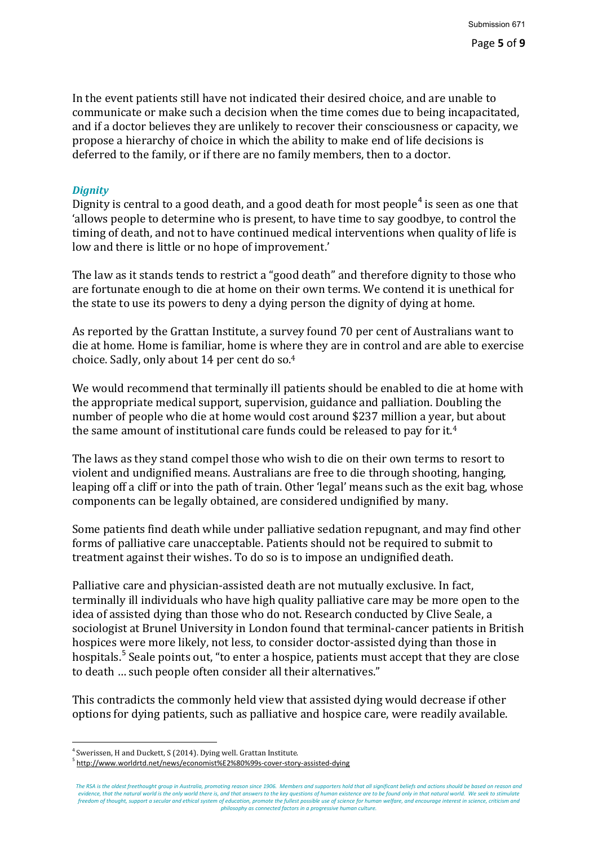In the event patients still have not indicated their desired choice, and are unable to communicate or make such a decision when the time comes due to being incapacitated, and if a doctor believes they are unlikely to recover their consciousness or capacity, we propose a hierarchy of choice in which the ability to make end of life decisions is deferred to the family, or if there are no family members, then to a doctor.

## *Dignity*

Dignity is central to a good death, and a good death for most people<sup>4</sup> is seen as one that 'allows people to determine who is present, to have time to say goodbye, to control the timing of death, and not to have continued medical interventions when quality of life is low and there is little or no hope of improvement.'

The law as it stands tends to restrict a "good death" and therefore dignity to those who are fortunate enough to die at home on their own terms. We contend it is unethical for the state to use its powers to deny a dying person the dignity of dying at home.

As reported by the Grattan Institute, a survey found 70 per cent of Australians want to die at home. Home is familiar, home is where they are in control and are able to exercise choice. Sadly, only about 14 per cent do so.4

We would recommend that terminally ill patients should be enabled to die at home with the appropriate medical support, supervision, guidance and palliation. Doubling the number of people who die at home would cost around \$237 million a year, but about the same amount of institutional care funds could be released to pay for it.4

The laws as they stand compel those who wish to die on their own terms to resort to violent and undignified means. Australians are free to die through shooting, hanging, leaping off a cliff or into the path of train. Other 'legal' means such as the exit bag, whose components can be legally obtained, are considered undignified by many.

Some patients find death while under palliative sedation repugnant, and may find other forms of palliative care unacceptable. Patients should not be required to submit to treatment against their wishes. To do so is to impose an undignified death.

Palliative care and physician-assisted death are not mutually exclusive. In fact, terminally ill individuals who have high quality palliative care may be more open to the idea of assisted dying than those who do not. Research conducted by Clive Seale, a sociologist at Brunel University in London found that terminal-cancer patients in British hospices were more likely, not less, to consider doctor-assisted dying than those in hospitals.<sup>5</sup> Seale points out, "to enter a hospice, patients must accept that they are close to death … such people often consider all their alternatives."

This contradicts the commonly held view that assisted dying would decrease if other options for dying patients, such as palliative and hospice care, were readily available.

<sup>1</sup>  $\frac{4}{5}$  Swerissen, H and Duckett, S (2014). Dying well. Grattan Institute.

<sup>5</sup> http://www.worldrtd.net/news/economist%E2%80%99s-cover-story-assisted-dying

*The RSA is the oldest freethought group in Australia, promoting reason since 1906. Members and supporters hold that all significant beliefs and actions should be based on reason and evidence, that the natural world is the only world there is, and that answers to the key questions of human existence are to be found only in that natural world. We seek to stimulate freedom of thought, support a secular and ethical system of education, promote the fullest possible use of science for human welfare, and encourage interest in science, criticism and philosophy as connected factors in a progressive human culture.*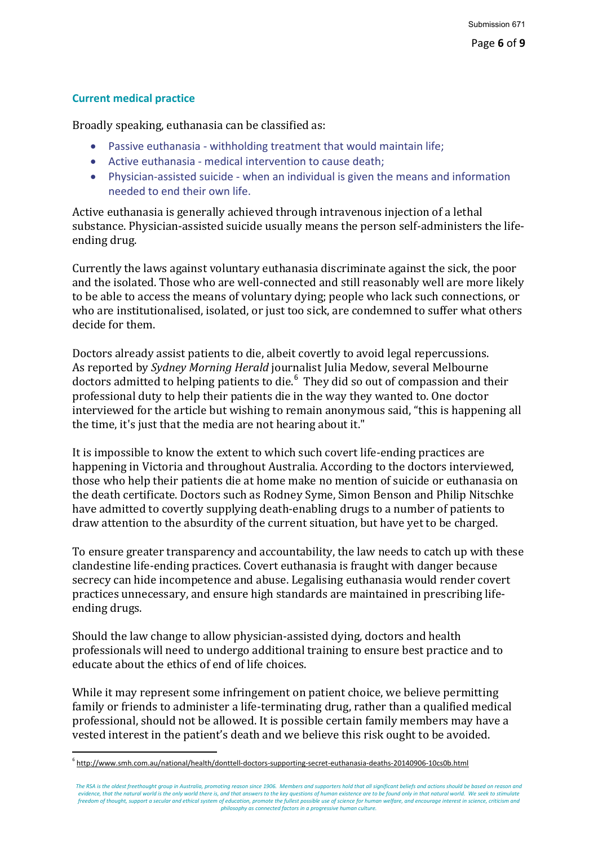## **Current medical practice**

Broadly speaking, euthanasia can be classified as:

- Passive euthanasia withholding treatment that would maintain life;
- Active euthanasia medical intervention to cause death;
- Physician-assisted suicide when an individual is given the means and information needed to end their own life.

Active euthanasia is generally achieved through intravenous injection of a lethal substance. Physician-assisted suicide usually means the person self-administers the lifeending drug.

Currently the laws against voluntary euthanasia discriminate against the sick, the poor and the isolated. Those who are well-connected and still reasonably well are more likely to be able to access the means of voluntary dying; people who lack such connections, or who are institutionalised, isolated, or just too sick, are condemned to suffer what others decide for them.

Doctors already assist patients to die, albeit covertly to avoid legal repercussions. As reported by *Sydney Morning Herald* journalist Julia Medow, several Melbourne doctors admitted to helping patients to die.<sup>6</sup> They did so out of compassion and their professional duty to help their patients die in the way they wanted to. One doctor interviewed for the article but wishing to remain anonymous said, "this is happening all the time, it's just that the media are not hearing about it."

It is impossible to know the extent to which such covert life-ending practices are happening in Victoria and throughout Australia. According to the doctors interviewed, those who help their patients die at home make no mention of suicide or euthanasia on the death certificate. Doctors such as Rodney Syme, Simon Benson and Philip Nitschke have admitted to covertly supplying death-enabling drugs to a number of patients to draw attention to the absurdity of the current situation, but have yet to be charged.

To ensure greater transparency and accountability, the law needs to catch up with these clandestine life-ending practices. Covert euthanasia is fraught with danger because secrecy can hide incompetence and abuse. Legalising euthanasia would render covert practices unnecessary, and ensure high standards are maintained in prescribing lifeending drugs.

Should the law change to allow physician-assisted dying, doctors and health professionals will need to undergo additional training to ensure best practice and to educate about the ethics of end of life choices.

While it may represent some infringement on patient choice, we believe permitting family or friends to administer a life-terminating drug, rather than a qualified medical professional, should not be allowed. It is possible certain family members may have a vested interest in the patient's death and we believe this risk ought to be avoided.

<sup>1</sup> <sup>6</sup> http://www.smh.com.au/national/health/donttell-doctors-supporting-secret-euthanasia-deaths-20140906-10cs0b.html

*The RSA is the oldest freethought group in Australia, promoting reason since 1906. Members and supporters hold that all significant beliefs and actions should be based on reason and evidence, that the natural world is the only world there is, and that answers to the key questions of human existence are to be found only in that natural world. We seek to stimulate freedom of thought, support a secular and ethical system of education, promote the fullest possible use of science for human welfare, and encourage interest in science, criticism and philosophy as connected factors in a progressive human culture.*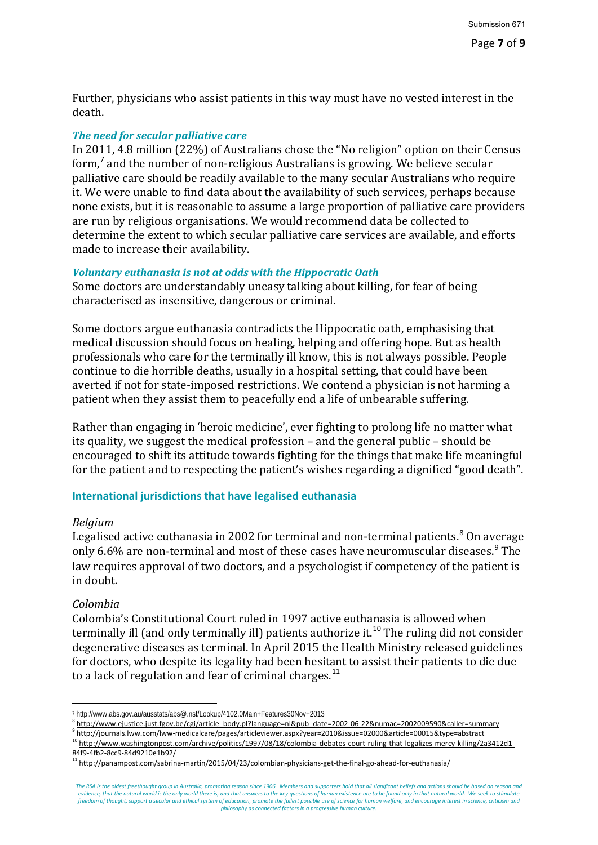Further, physicians who assist patients in this way must have no vested interest in the death.

## *The need for secular palliative care*

In 2011, 4.8 million (22%) of Australians chose the "No religion" option on their Census form, $<sup>7</sup>$  and the number of non-religious Australians is growing. We believe secular</sup> palliative care should be readily available to the many secular Australians who require it. We were unable to find data about the availability of such services, perhaps because none exists, but it is reasonable to assume a large proportion of palliative care providers are run by religious organisations. We would recommend data be collected to determine the extent to which secular palliative care services are available, and efforts made to increase their availability.

#### *Voluntary euthanasia is not at odds with the Hippocratic Oath*

Some doctors are understandably uneasy talking about killing, for fear of being characterised as insensitive, dangerous or criminal.

Some doctors argue euthanasia contradicts the Hippocratic oath, emphasising that medical discussion should focus on healing, helping and offering hope. But as health professionals who care for the terminally ill know, this is not always possible. People continue to die horrible deaths, usually in a hospital setting, that could have been averted if not for state-imposed restrictions. We contend a physician is not harming a patient when they assist them to peacefully end a life of unbearable suffering.

Rather than engaging in 'heroic medicine', ever fighting to prolong life no matter what its quality, we suggest the medical profession – and the general public – should be encouraged to shift its attitude towards fighting for the things that make life meaningful for the patient and to respecting the patient's wishes regarding a dignified "good death".

## **International jurisdictions that have legalised euthanasia**

#### *Belgium*

Legalised active euthanasia in 2002 for terminal and non-terminal patients.<sup>8</sup> On average only 6.6% are non-terminal and most of these cases have neuromuscular diseases.<sup>9</sup> The law requires approval of two doctors, and a psychologist if competency of the patient is in doubt.

## *Colombia*

-

Colombia's Constitutional Court ruled in 1997 active euthanasia is allowed when terminally ill (and only terminally ill) patients authorize it.<sup>10</sup> The ruling did not consider degenerative diseases as terminal. In April 2015 the Health Ministry released guidelines for doctors, who despite its legality had been hesitant to assist their patients to die due to a lack of regulation and fear of criminal charges. $^{11}$ 

<sup>7</sup> http://www.abs.gov.au/ausstats/abs@.nsf/Lookup/4102.0Main+Features30Nov+2013

<sup>8</sup> http://www.ejustice.just.fgov.be/cgi/article body.pl?language=nl&pub date=2002-06-22&numac=2002009590&caller=summary

<sup>9</sup> http://journals.lww.com/lww-medicalcare/pages/articleviewer.aspx?year=2010&issue=02000&article=00015&type=abstract

<sup>10</sup> http://www.washingtonpost.com/archive/politics/1997/08/18/colombia-debates-court-ruling-that-legalizes-mercy-killing/2a3412d1-<br>84f9-4fb2-8cc9-84d9210e1b92/

<sup>8466</sup> M22 2022 2022 2022 12:22:22:22:22:22:22:22:23/colombian-physicians-get-the-final-go-ahead-for-euthanasia/<br>11 http://panampost.com/sabrina-martin/2015/04/23/colombian-physicians-get-the-final-go-ahead-for-euthanasia/

*The RSA is the oldest freethought group in Australia, promoting reason since 1906. Members and supporters hold that all significant beliefs and actions should be based on reason and evidence, that the natural world is the only world there is, and that answers to the key questions of human existence are to be found only in that natural world. We seek to stimulate freedom of thought, support a secular and ethical system of education, promote the fullest possible use of science for human welfare, and encourage interest in science, criticism and philosophy as connected factors in a progressive human culture.*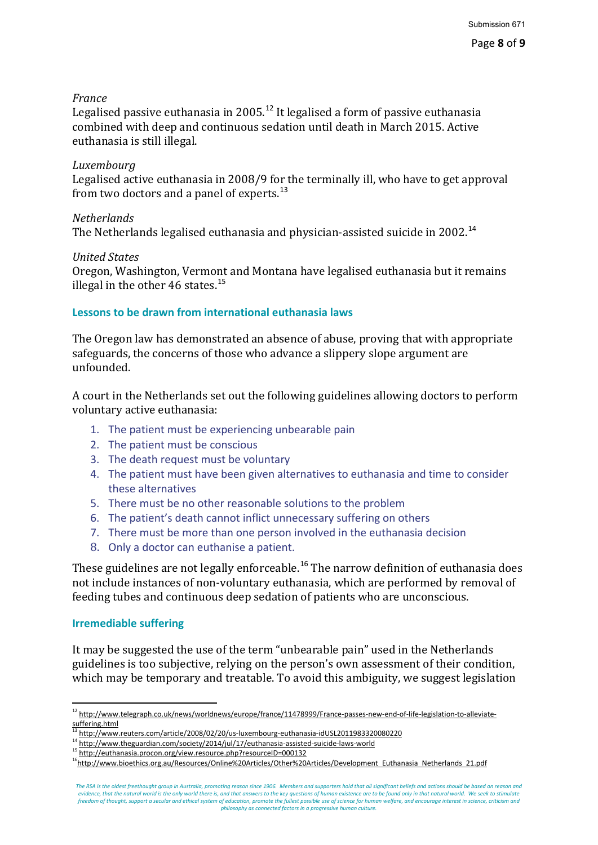## *France*

Legalised passive euthanasia in 2005.<sup>12</sup> It legalised a form of passive euthanasia combined with deep and continuous sedation until death in March 2015. Active euthanasia is still illegal.

## *Luxembourg*

Legalised active euthanasia in 2008/9 for the terminally ill, who have to get approval from two doctors and a panel of experts.<sup>13</sup>

## *Netherlands*

The Netherlands legalised euthanasia and physician-assisted suicide in 2002.<sup>14</sup>

## *United States*

Oregon, Washington, Vermont and Montana have legalised euthanasia but it remains illegal in the other 46 states. $^{15}$ 

## **Lessons to be drawn from international euthanasia laws**

The Oregon law has demonstrated an absence of abuse, proving that with appropriate safeguards, the concerns of those who advance a slippery slope argument are unfounded.

A court in the Netherlands set out the following guidelines allowing doctors to perform voluntary active euthanasia:

- 1. The patient must be experiencing unbearable pain
- 2. The patient must be conscious
- 3. The death request must be voluntary
- 4. The patient must have been given alternatives to euthanasia and time to consider these alternatives
- 5. There must be no other reasonable solutions to the problem
- 6. The patient's death cannot inflict unnecessary suffering on others
- 7. There must be more than one person involved in the euthanasia decision
- 8. Only a doctor can euthanise a patient.

These guidelines are not legally enforceable.<sup>16</sup> The narrow definition of euthanasia does not include instances of non-voluntary euthanasia, which are performed by removal of feeding tubes and continuous deep sedation of patients who are unconscious.

## **Irremediable suffering**

It may be suggested the use of the term "unbearable pain" used in the Netherlands guidelines is too subjective, relying on the person's own assessment of their condition, which may be temporary and treatable. To avoid this ambiguity, we suggest legislation

<sup>-</sup><sup>12</sup> http://www.telegraph.co.uk/news/worldnews/europe/france/11478999/France-passes-new-end-of-life-legislation-to-alleviatesuffering.html

<sup>13</sup> http://www.reuters.com/article/2008/02/20/us-luxembourg-euthanasia-idUSL2011983320080220

<sup>14&</sup>lt;br>http://www.theguardian.com/society/2014/jul/17/euthanasia-assisted-suicide-laws-world<br>15 http://euthanasia.procon.org/view.resource.php?resourceID=000132

<sup>&</sup>lt;sup>16</sup>http://www.bioethics.org.au/Resources/Online%20Articles/Other%20Articles/Development Euthanasia Netherlands 21.pdf

*The RSA is the oldest freethought group in Australia, promoting reason since 1906. Members and supporters hold that all significant beliefs and actions should be based on reason and evidence, that the natural world is the only world there is, and that answers to the key questions of human existence are to be found only in that natural world. We seek to stimulate freedom of thought, support a secular and ethical system of education, promote the fullest possible use of science for human welfare, and encourage interest in science, criticism and philosophy as connected factors in a progressive human culture.*